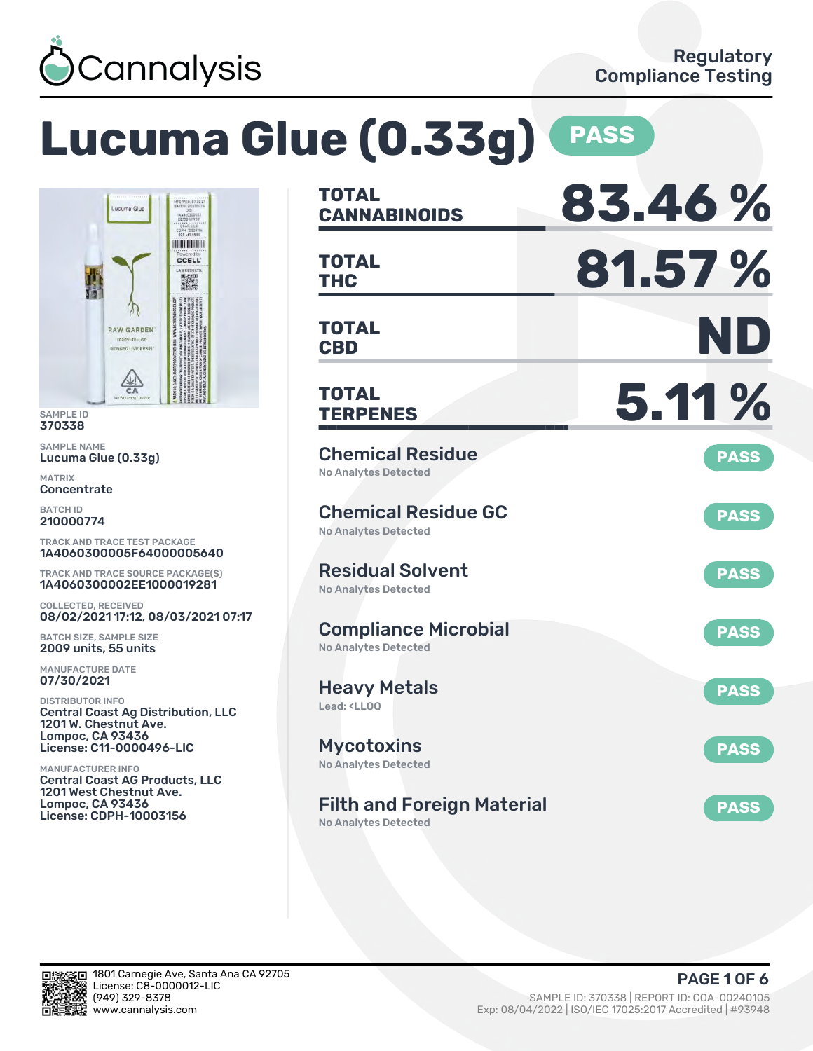

# **Lucuma Glue (0.33g) PASS**



SAMPLE ID 370338

SAMPLE NAME Lucuma Glue (0.33g)

MATRIX **Concentrate** 

BATCH ID 210000774

TRACK AND TRACE TEST PACKAGE 1A4060300005F64000005640

TRACK AND TRACE SOURCE PACKAGE(S) 1A4060300002EE1000019281

COLLECTED, RECEIVED 08/02/2021 17:12, 08/03/2021 07:17

BATCH SIZE, SAMPLE SIZE 2009 units, 55 units

MANUFACTURE DATE 07/30/2021

DISTRIBUTOR INFO Central Coast Ag Distribution, LLC 1201 W. Chestnut Ave. Lompoc, CA 93436 License: C11-0000496-LIC

MANUFACTURER INFO Central Coast AG Products, LLC 1201 West Chestnut Ave. Lompoc, CA 93436 License: CDPH-10003156

| <b>TOTAL</b><br><b>CANNABINOIDS</b>                                    | 83.46%      |
|------------------------------------------------------------------------|-------------|
| <b>TOTAL</b><br>THC                                                    | 81.57%      |
| <b>TOTAL</b><br><b>CBD</b>                                             | ND          |
| TOTAL<br><b>TERPENES</b>                                               | 5.11%       |
| <b>Chemical Residue</b><br>No Analytes Detected                        | <b>PASS</b> |
| <b>Chemical Residue GC</b><br><b>No Analytes Detected</b>              | <b>PASS</b> |
| <b>Residual Solvent</b><br><b>No Analytes Detected</b>                 | <b>PASS</b> |
| <b>Compliance Microbial</b><br><b>No Analytes Detected</b>             | <b>PASS</b> |
| <b>Heavy Metals</b><br>Lead: <ll00< td=""><td><b>PASS</b></td></ll00<> | <b>PASS</b> |
| <b>Mycotoxins</b><br>No Analytes Detected                              | <b>PASS</b> |
| <b>Filth and Foreign Material</b><br><b>No Analytes Detected</b>       | <b>PASS</b> |

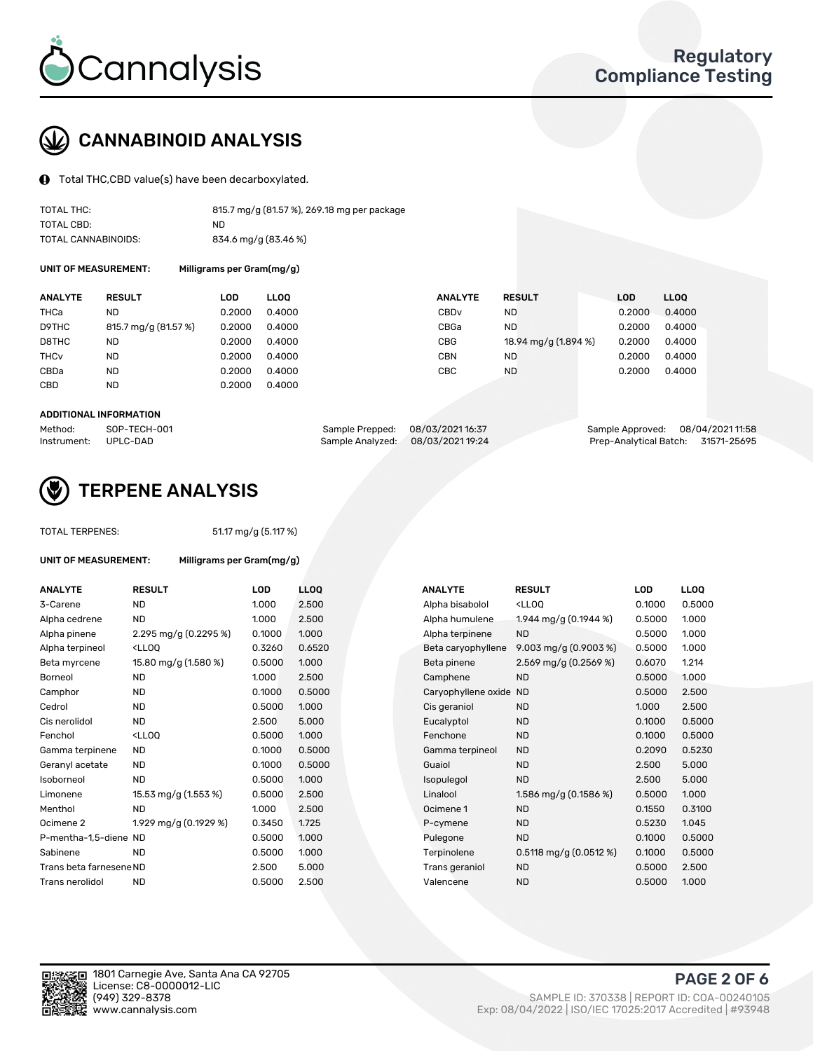

# CANNABINOID ANALYSIS

Total THC,CBD value(s) have been decarboxylated.

| TOTAL THC:          | 815.7 mg/g (81.57 %), 269.18 mg per package |
|---------------------|---------------------------------------------|
| TOTAL CBD:          | ND.                                         |
| TOTAL CANNABINOIDS: | 834.6 mg/g (83.46 %)                        |

UNIT OF MEASUREMENT: Milligrams per Gram(mg/g)

| <b>ANALYTE</b>         | <b>RESULT</b>        | LOD    | <b>LLOO</b> | <b>ANALYTE</b>   | <b>RESULT</b>        | <b>LOD</b> | <b>LLOO</b> |
|------------------------|----------------------|--------|-------------|------------------|----------------------|------------|-------------|
| THCa                   | ND                   | 0.2000 | 0.4000      | CBD <sub>v</sub> | ND                   | 0.2000     | 0.4000      |
| D9THC                  | 815.7 mg/g (81.57 %) | 0.2000 | 0.4000      | CBGa             | <b>ND</b>            | 0.2000     | 0.4000      |
| D8THC                  | <b>ND</b>            | 0.2000 | 0.4000      | <b>CBG</b>       | 18.94 mg/g (1.894 %) | 0.2000     | 0.4000      |
| <b>THC<sub>v</sub></b> | <b>ND</b>            | 0.2000 | 0.4000      | <b>CBN</b>       | <b>ND</b>            | 0.2000     | 0.4000      |
| CBDa                   | <b>ND</b>            | 0.2000 | 0.4000      | CBC              | ND                   | 0.2000     | 0.4000      |
| CBD                    | <b>ND</b>            | 0.2000 | 0.4000      |                  |                      |            |             |
|                        |                      |        |             |                  |                      |            |             |

#### ADDITIONAL INFORMATION

| Method:              | SOP-TECH-001 | Sample Prepped: 08/03/202116:37   | Sample Approved: 08/04/2021 11:58  |  |
|----------------------|--------------|-----------------------------------|------------------------------------|--|
| Instrument: UPLC-DAD |              | Sample Analyzed: 08/03/2021 19:24 | Prep-Analytical Batch: 31571-25695 |  |



## TERPENE ANALYSIS

UNIT OF MEASUREMENT: Milligrams per Gram(mg/g)

|  | <b>TOTAL TERPENES:</b> |
|--|------------------------|
|--|------------------------|

51.17 mg/g (5.117 %)

| <b>ANALYTE</b>          | <b>RESULT</b>                                                                                                                                                   | LOD    | <b>LLOO</b> |  | <b>ANALYTE</b>         | <b>RESULT</b>                                       | LOD    | <b>LLOQ</b> |
|-------------------------|-----------------------------------------------------------------------------------------------------------------------------------------------------------------|--------|-------------|--|------------------------|-----------------------------------------------------|--------|-------------|
| 3-Carene                | <b>ND</b>                                                                                                                                                       | 1.000  | 2.500       |  | Alpha bisabolol        | <lloq< td=""><td>0.1000</td><td>0.5000</td></lloq<> | 0.1000 | 0.5000      |
| Alpha cedrene           | <b>ND</b>                                                                                                                                                       | 1.000  | 2.500       |  | Alpha humulene         | 1.944 mg/g $(0.1944\%)$                             | 0.5000 | 1.000       |
| Alpha pinene            | 2.295 mg/g $(0.2295\%)$                                                                                                                                         | 0.1000 | 1.000       |  | Alpha terpinene        | <b>ND</b>                                           | 0.5000 | 1.000       |
| Alpha terpineol         | <lloo< td=""><td>0.3260</td><td>0.6520</td><td></td><td>Beta caryophyllene</td><td>9.003 mg/g <math>(0.9003\%)</math></td><td>0.5000</td><td>1.000</td></lloo<> | 0.3260 | 0.6520      |  | Beta caryophyllene     | 9.003 mg/g $(0.9003\%)$                             | 0.5000 | 1.000       |
| Beta myrcene            | 15.80 mg/g (1.580 %)                                                                                                                                            | 0.5000 | 1.000       |  | Beta pinene            | 2.569 mg/g $(0.2569\%)$                             | 0.6070 | 1.214       |
| Borneol                 | <b>ND</b>                                                                                                                                                       | 1.000  | 2.500       |  | Camphene               | <b>ND</b>                                           | 0.5000 | 1.000       |
| Camphor                 | <b>ND</b>                                                                                                                                                       | 0.1000 | 0.5000      |  | Caryophyllene oxide ND |                                                     | 0.5000 | 2.500       |
| Cedrol                  | <b>ND</b>                                                                                                                                                       | 0.5000 | 1.000       |  | Cis geraniol           | <b>ND</b>                                           | 1.000  | 2.500       |
| Cis nerolidol           | <b>ND</b>                                                                                                                                                       | 2.500  | 5.000       |  | Eucalyptol             | <b>ND</b>                                           | 0.1000 | 0.5000      |
| Fenchol                 | <lloq< td=""><td>0.5000</td><td>1.000</td><td></td><td>Fenchone</td><td><b>ND</b></td><td>0.1000</td><td>0.5000</td></lloq<>                                    | 0.5000 | 1.000       |  | Fenchone               | <b>ND</b>                                           | 0.1000 | 0.5000      |
| Gamma terpinene         | <b>ND</b>                                                                                                                                                       | 0.1000 | 0.5000      |  | Gamma terpineol        | <b>ND</b>                                           | 0.2090 | 0.5230      |
| Geranyl acetate         | <b>ND</b>                                                                                                                                                       | 0.1000 | 0.5000      |  | Guaiol                 | <b>ND</b>                                           | 2.500  | 5.000       |
| Isoborneol              | <b>ND</b>                                                                                                                                                       | 0.5000 | 1.000       |  | Isopulegol             | <b>ND</b>                                           | 2.500  | 5.000       |
| Limonene                | 15.53 mg/g (1.553 %)                                                                                                                                            | 0.5000 | 2.500       |  | Linalool               | 1.586 mg/g (0.1586 %)                               | 0.5000 | 1.000       |
| Menthol                 | <b>ND</b>                                                                                                                                                       | 1.000  | 2.500       |  | Ocimene 1              | <b>ND</b>                                           | 0.1550 | 0.3100      |
| Ocimene 2               | 1.929 mg/g (0.1929 %)                                                                                                                                           | 0.3450 | 1.725       |  | P-cymene               | <b>ND</b>                                           | 0.5230 | 1.045       |
| P-mentha-1.5-diene ND   |                                                                                                                                                                 | 0.5000 | 1.000       |  | Pulegone               | <b>ND</b>                                           | 0.1000 | 0.5000      |
| Sabinene                | <b>ND</b>                                                                                                                                                       | 0.5000 | 1.000       |  | Terpinolene            | $0.5118$ mg/g $(0.0512%)$                           | 0.1000 | 0.5000      |
| Trans beta farnesene ND |                                                                                                                                                                 | 2.500  | 5.000       |  | Trans geraniol         | <b>ND</b>                                           | 0.5000 | 2.500       |
| Trans nerolidol         | <b>ND</b>                                                                                                                                                       | 0.5000 | 2.500       |  | Valencene              | <b>ND</b>                                           | 0.5000 | 1.000       |

| <b>ANALYTE</b>      | <b>RESULT</b>                                       | LOD    | <b>LLOO</b> |
|---------------------|-----------------------------------------------------|--------|-------------|
| Alpha bisabolol     | <lloq< td=""><td>0.1000</td><td>0.5000</td></lloq<> | 0.1000 | 0.5000      |
| Alpha humulene      | 1.944 mg/g $(0.1944\%)$                             | 0.5000 | 1.000       |
| Alpha terpinene     | <b>ND</b>                                           | 0.5000 | 1.000       |
| Beta caryophyllene  | 9.003 mg/g $(0.9003\%)$                             | 0.5000 | 1.000       |
| Beta pinene         | 2.569 mg/g (0.2569 %)                               | 0.6070 | 1.214       |
| Camphene            | <b>ND</b>                                           | 0.5000 | 1.000       |
| Caryophyllene oxide | <b>ND</b>                                           | 0.5000 | 2.500       |
| Cis geraniol        | <b>ND</b>                                           | 1.000  | 2.500       |
| Eucalyptol          | ND.                                                 | 0.1000 | 0.5000      |
| Fenchone            | <b>ND</b>                                           | 0.1000 | 0.5000      |
| Gamma terpineol     | <b>ND</b>                                           | 0.2090 | 0.5230      |
| Guaiol              | <b>ND</b>                                           | 2.500  | 5.000       |
| Isopulegol          | <b>ND</b>                                           | 2.500  | 5.000       |
| Linalool            | 1.586 mg/g $(0.1586\%)$                             | 0.5000 | 1.000       |
| Ocimene 1           | <b>ND</b>                                           | 0.1550 | 0.3100      |
| P-cymene            | <b>ND</b>                                           | 0.5230 | 1.045       |
| Pulegone            | <b>ND</b>                                           | 0.1000 | 0.5000      |
| Terpinolene         | 0.5118 mg/g (0.0512 %)                              | 0.1000 | 0.5000      |
| Trans geraniol      | <b>ND</b>                                           | 0.5000 | 2.500       |
| Valencene           | <b>ND</b>                                           | 0.5000 | 1.000       |

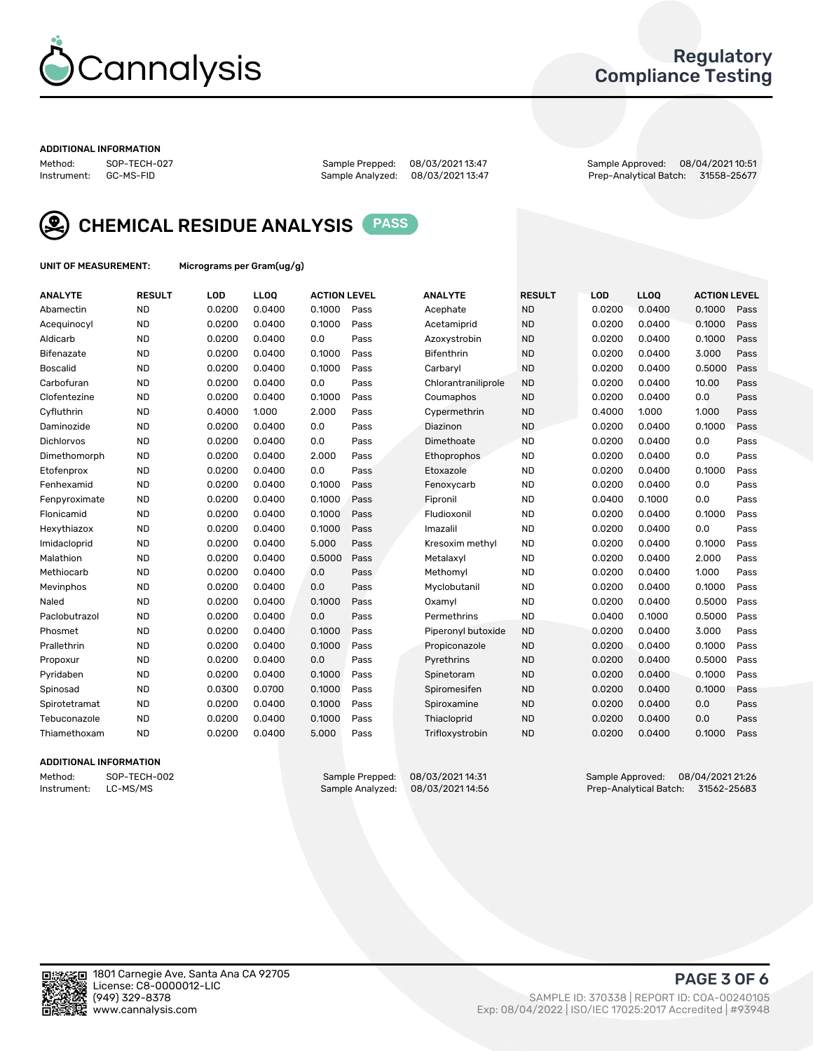

## Regulatory Compliance Testing

#### ADDITIONAL INFORMATION

| Method:     | SOP-TECH-02 |
|-------------|-------------|
| Instrument: | GC-MS-FID   |

Method: SOP-TECH-027 Sample Prepped: 08/03/2021 13:47 Sample Approved: 08/04/2021 10:51 Prep-Analytical Batch: 31558-25677



CHEMICAL RESIDUE ANALYSIS PASS

UNIT OF MEASUREMENT: Micrograms per Gram(ug/g)

| <b>ANALYTE</b>    | <b>RESULT</b> | LOD    | <b>LLOQ</b> | <b>ACTION LEVEL</b> |      | <b>ANALYTE</b>      | <b>RESULT</b> | LOD    | <b>LLOQ</b> | <b>ACTION LEVEL</b> |      |
|-------------------|---------------|--------|-------------|---------------------|------|---------------------|---------------|--------|-------------|---------------------|------|
| Abamectin         | <b>ND</b>     | 0.0200 | 0.0400      | 0.1000              | Pass | Acephate            | <b>ND</b>     | 0.0200 | 0.0400      | 0.1000              | Pass |
| Acequinocyl       | <b>ND</b>     | 0.0200 | 0.0400      | 0.1000              | Pass | Acetamiprid         | <b>ND</b>     | 0.0200 | 0.0400      | 0.1000              | Pass |
| Aldicarb          | <b>ND</b>     | 0.0200 | 0.0400      | 0.0                 | Pass | Azoxystrobin        | <b>ND</b>     | 0.0200 | 0.0400      | 0.1000              | Pass |
| Bifenazate        | <b>ND</b>     | 0.0200 | 0.0400      | 0.1000              | Pass | <b>Bifenthrin</b>   | <b>ND</b>     | 0.0200 | 0.0400      | 3.000               | Pass |
| <b>Boscalid</b>   | <b>ND</b>     | 0.0200 | 0.0400      | 0.1000              | Pass | Carbarvl            | <b>ND</b>     | 0.0200 | 0.0400      | 0.5000              | Pass |
| Carbofuran        | <b>ND</b>     | 0.0200 | 0.0400      | 0.0                 | Pass | Chlorantraniliprole | <b>ND</b>     | 0.0200 | 0.0400      | 10.00               | Pass |
| Clofentezine      | <b>ND</b>     | 0.0200 | 0.0400      | 0.1000              | Pass | Coumaphos           | <b>ND</b>     | 0.0200 | 0.0400      | 0.0                 | Pass |
| Cyfluthrin        | <b>ND</b>     | 0.4000 | 1.000       | 2.000               | Pass | Cypermethrin        | <b>ND</b>     | 0.4000 | 1.000       | 1.000               | Pass |
| Daminozide        | <b>ND</b>     | 0.0200 | 0.0400      | 0.0                 | Pass | Diazinon            | <b>ND</b>     | 0.0200 | 0.0400      | 0.1000              | Pass |
| <b>Dichlorvos</b> | <b>ND</b>     | 0.0200 | 0.0400      | 0.0                 | Pass | Dimethoate          | <b>ND</b>     | 0.0200 | 0.0400      | 0.0                 | Pass |
| Dimethomorph      | <b>ND</b>     | 0.0200 | 0.0400      | 2.000               | Pass | <b>Ethoprophos</b>  | <b>ND</b>     | 0.0200 | 0.0400      | 0.0                 | Pass |
| Etofenprox        | <b>ND</b>     | 0.0200 | 0.0400      | 0.0                 | Pass | Etoxazole           | <b>ND</b>     | 0.0200 | 0.0400      | 0.1000              | Pass |
| Fenhexamid        | <b>ND</b>     | 0.0200 | 0.0400      | 0.1000              | Pass | Fenoxycarb          | <b>ND</b>     | 0.0200 | 0.0400      | 0.0                 | Pass |
| Fenpyroximate     | <b>ND</b>     | 0.0200 | 0.0400      | 0.1000              | Pass | Fipronil            | <b>ND</b>     | 0.0400 | 0.1000      | 0.0                 | Pass |
| Flonicamid        | <b>ND</b>     | 0.0200 | 0.0400      | 0.1000              | Pass | Fludioxonil         | <b>ND</b>     | 0.0200 | 0.0400      | 0.1000              | Pass |
| Hexythiazox       | <b>ND</b>     | 0.0200 | 0.0400      | 0.1000              | Pass | Imazalil            | <b>ND</b>     | 0.0200 | 0.0400      | 0.0                 | Pass |
| Imidacloprid      | <b>ND</b>     | 0.0200 | 0.0400      | 5.000               | Pass | Kresoxim methyl     | <b>ND</b>     | 0.0200 | 0.0400      | 0.1000              | Pass |
| Malathion         | <b>ND</b>     | 0.0200 | 0.0400      | 0.5000              | Pass | Metalaxyl           | <b>ND</b>     | 0.0200 | 0.0400      | 2.000               | Pass |
| Methiocarb        | <b>ND</b>     | 0.0200 | 0.0400      | 0.0                 | Pass | Methomyl            | <b>ND</b>     | 0.0200 | 0.0400      | 1.000               | Pass |
| Mevinphos         | <b>ND</b>     | 0.0200 | 0.0400      | 0.0                 | Pass | Myclobutanil        | <b>ND</b>     | 0.0200 | 0.0400      | 0.1000              | Pass |
| Naled             | <b>ND</b>     | 0.0200 | 0.0400      | 0.1000              | Pass | Oxamyl              | <b>ND</b>     | 0.0200 | 0.0400      | 0.5000              | Pass |
| Paclobutrazol     | <b>ND</b>     | 0.0200 | 0.0400      | 0.0                 | Pass | Permethrins         | <b>ND</b>     | 0.0400 | 0.1000      | 0.5000              | Pass |
| Phosmet           | <b>ND</b>     | 0.0200 | 0.0400      | 0.1000              | Pass | Piperonyl butoxide  | <b>ND</b>     | 0.0200 | 0.0400      | 3.000               | Pass |
| Prallethrin       | <b>ND</b>     | 0.0200 | 0.0400      | 0.1000              | Pass | Propiconazole       | <b>ND</b>     | 0.0200 | 0.0400      | 0.1000              | Pass |
| Propoxur          | <b>ND</b>     | 0.0200 | 0.0400      | 0.0                 | Pass | Pyrethrins          | <b>ND</b>     | 0.0200 | 0.0400      | 0.5000              | Pass |
| Pyridaben         | <b>ND</b>     | 0.0200 | 0.0400      | 0.1000              | Pass | Spinetoram          | <b>ND</b>     | 0.0200 | 0.0400      | 0.1000              | Pass |
| Spinosad          | <b>ND</b>     | 0.0300 | 0.0700      | 0.1000              | Pass | Spiromesifen        | <b>ND</b>     | 0.0200 | 0.0400      | 0.1000              | Pass |
| Spirotetramat     | <b>ND</b>     | 0.0200 | 0.0400      | 0.1000              | Pass | Spiroxamine         | <b>ND</b>     | 0.0200 | 0.0400      | 0.0                 | Pass |
| Tebuconazole      | <b>ND</b>     | 0.0200 | 0.0400      | 0.1000              | Pass | Thiacloprid         | <b>ND</b>     | 0.0200 | 0.0400      | 0.0                 | Pass |
| Thiamethoxam      | <b>ND</b>     | 0.0200 | 0.0400      | 5.000               | Pass | Trifloxystrobin     | <b>ND</b>     | 0.0200 | 0.0400      | 0.1000              | Pass |

#### ADDITIONAL INFORMATION

| Method:     | SOP-TECH-002 |
|-------------|--------------|
| Instrument: | LC-MS/MS     |

Sample Prepped: 08/03/2021 14:31 Sample Approved: 08/04/2021 21:26<br>Sample Analyzed: 08/03/2021 14:56 Prep-Analytical Batch: 31562-25683 Prep-Analytical Batch: 31562-25683

PAGE 3 OF 6

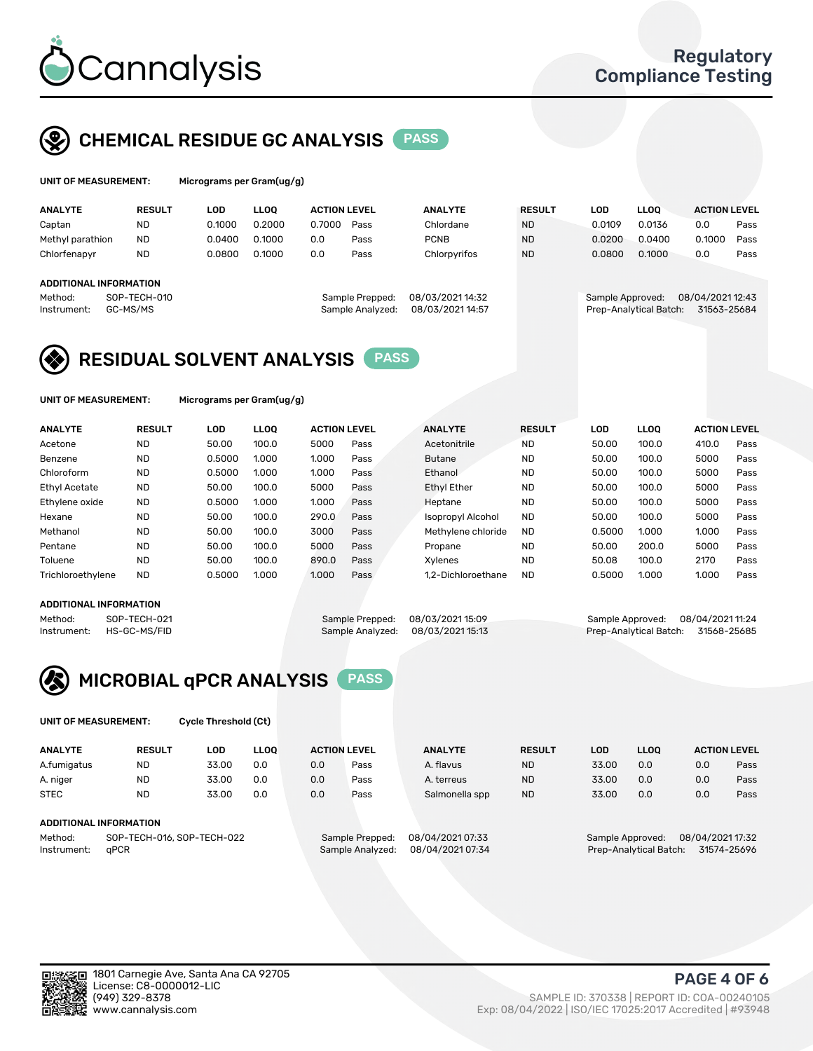

## CHEMICAL RESIDUE GC ANALYSIS PASS

rograms per Gram(ug/g)

| <b>ANALYTE</b>                | <b>RESULT</b> | LOD    | <b>LLOO</b> | <b>ACTION LEVEL</b> |                  | <b>ANALYTE</b>   | <b>RESULT</b> | LOD              | <b>LLOO</b>            | <b>ACTION LEVEL</b> |      |
|-------------------------------|---------------|--------|-------------|---------------------|------------------|------------------|---------------|------------------|------------------------|---------------------|------|
| Captan                        | <b>ND</b>     | 0.1000 | 0.2000      | 0.7000              | Pass             | Chlordane        | <b>ND</b>     | 0.0109           | 0.0136                 | 0.0                 | Pass |
| Methyl parathion              | <b>ND</b>     | 0.0400 | 0.1000      | 0.0                 | Pass             | <b>PCNB</b>      | <b>ND</b>     | 0.0200           | 0.0400                 | 0.1000              | Pass |
| Chlorfenapyr                  | <b>ND</b>     | 0.0800 | 0.1000      | 0.0                 | Pass             | Chlorpyrifos     | <b>ND</b>     | 0.0800           | 0.1000                 | 0.0                 | Pass |
|                               |               |        |             |                     |                  |                  |               |                  |                        |                     |      |
| <b>ADDITIONAL INFORMATION</b> |               |        |             |                     |                  |                  |               |                  |                        |                     |      |
| Method:                       | SOP-TECH-010  |        |             |                     | Sample Prepped:  | 08/03/2021 14:32 |               | Sample Approved: |                        | 08/04/2021 12:43    |      |
| Instrument:                   | GC-MS/MS      |        |             |                     | Sample Analyzed: | 08/03/2021 14:57 |               |                  | Prep-Analytical Batch: | 31563-25684         |      |
|                               |               |        |             |                     |                  |                  |               |                  |                        |                     |      |

## RESIDUAL SOLVENT ANALYSIS PASS

UNIT OF MEASUREMENT: Micrograms per Gram(ug/g)

| <b>ANALYTE</b>    | <b>RESULT</b> | LOD    | <b>LLOO</b> | <b>ACTION LEVEL</b> |      | <b>ANALYTE</b>           | <b>RESULT</b> | LOD    | <b>LLOO</b> | <b>ACTION LEVEL</b> |      |
|-------------------|---------------|--------|-------------|---------------------|------|--------------------------|---------------|--------|-------------|---------------------|------|
| Acetone           | <b>ND</b>     | 50.00  | 100.0       | 5000                | Pass | Acetonitrile             | <b>ND</b>     | 50.00  | 100.0       | 410.0               | Pass |
| Benzene           | <b>ND</b>     | 0.5000 | 1.000       | 1.000               | Pass | <b>Butane</b>            | <b>ND</b>     | 50.00  | 100.0       | 5000                | Pass |
| Chloroform        | <b>ND</b>     | 0.5000 | 1.000       | 1.000               | Pass | Ethanol                  | <b>ND</b>     | 50.00  | 100.0       | 5000                | Pass |
| Ethyl Acetate     | <b>ND</b>     | 50.00  | 100.0       | 5000                | Pass | <b>Ethyl Ether</b>       | <b>ND</b>     | 50.00  | 100.0       | 5000                | Pass |
| Ethylene oxide    | <b>ND</b>     | 0.5000 | 1.000       | 1.000               | Pass | Heptane                  | <b>ND</b>     | 50.00  | 100.0       | 5000                | Pass |
| Hexane            | <b>ND</b>     | 50.00  | 100.0       | 290.0               | Pass | <b>Isopropyl Alcohol</b> | <b>ND</b>     | 50.00  | 100.0       | 5000                | Pass |
| Methanol          | <b>ND</b>     | 50.00  | 100.0       | 3000                | Pass | Methylene chloride       | <b>ND</b>     | 0.5000 | 1.000       | 1.000               | Pass |
| Pentane           | <b>ND</b>     | 50.00  | 100.0       | 5000                | Pass | Propane                  | <b>ND</b>     | 50.00  | 200.0       | 5000                | Pass |
| Toluene           | <b>ND</b>     | 50.00  | 100.0       | 890.0               | Pass | Xvlenes                  | <b>ND</b>     | 50.08  | 100.0       | 2170                | Pass |
| Trichloroethylene | <b>ND</b>     | 0.5000 | 1.000       | 1.000               | Pass | 1.2-Dichloroethane       | <b>ND</b>     | 0.5000 | 1.000       | 1.000               | Pass |

## ADDITIONAL INFORMATION

Method: SOP-TECH-021 Sample Prepped: 08/03/202115:09 Sample Approved: 08/04/202111:24<br>Instrument: HS-GC-MS/FID Sample Analyzed: 08/03/202115:13 Prep-Analytical Batch: 31568-25685 Prep-Analytical Batch: 31568-25685



UNIT OF MEASUREMENT: Cycle Threshold (Ct)

| <b>ANALYTE</b> | <b>RESULT</b>              | LOD   | <b>LLOO</b> |     | <b>ACTION LEVEL</b> | <b>ANALYTE</b>   | <b>RESULT</b> | <b>LOD</b>                           | <b>LLOO</b>            | <b>ACTION LEVEL</b> |             |
|----------------|----------------------------|-------|-------------|-----|---------------------|------------------|---------------|--------------------------------------|------------------------|---------------------|-------------|
| A.fumigatus    | <b>ND</b>                  | 33.00 | 0.0         | 0.0 | Pass                | A. flavus        | <b>ND</b>     | 33.00                                | 0.0                    | 0.0                 | Pass        |
| A. niger       | <b>ND</b>                  | 33.00 | 0.0         | 0.0 | Pass                | A. terreus       | <b>ND</b>     | 33.00                                | 0.0                    | 0.0                 | Pass        |
| <b>STEC</b>    | <b>ND</b>                  | 33.00 | 0.0         | 0.0 | Pass                | Salmonella spp   | <b>ND</b>     | 33.00                                | 0.0                    | 0.0                 | Pass        |
|                | ADDITIONAL INFORMATION     |       |             |     |                     |                  |               |                                      |                        |                     |             |
| Method:        | SOP-TECH-016, SOP-TECH-022 |       |             |     | Sample Prepped:     | 08/04/2021 07:33 |               | 08/04/2021 17:32<br>Sample Approved: |                        |                     |             |
| Instrument:    | aPCR                       |       |             |     | Sample Analyzed:    | 08/04/2021 07:34 |               |                                      | Prep-Analytical Batch: |                     | 31574-25696 |

PAGE 4 OF 6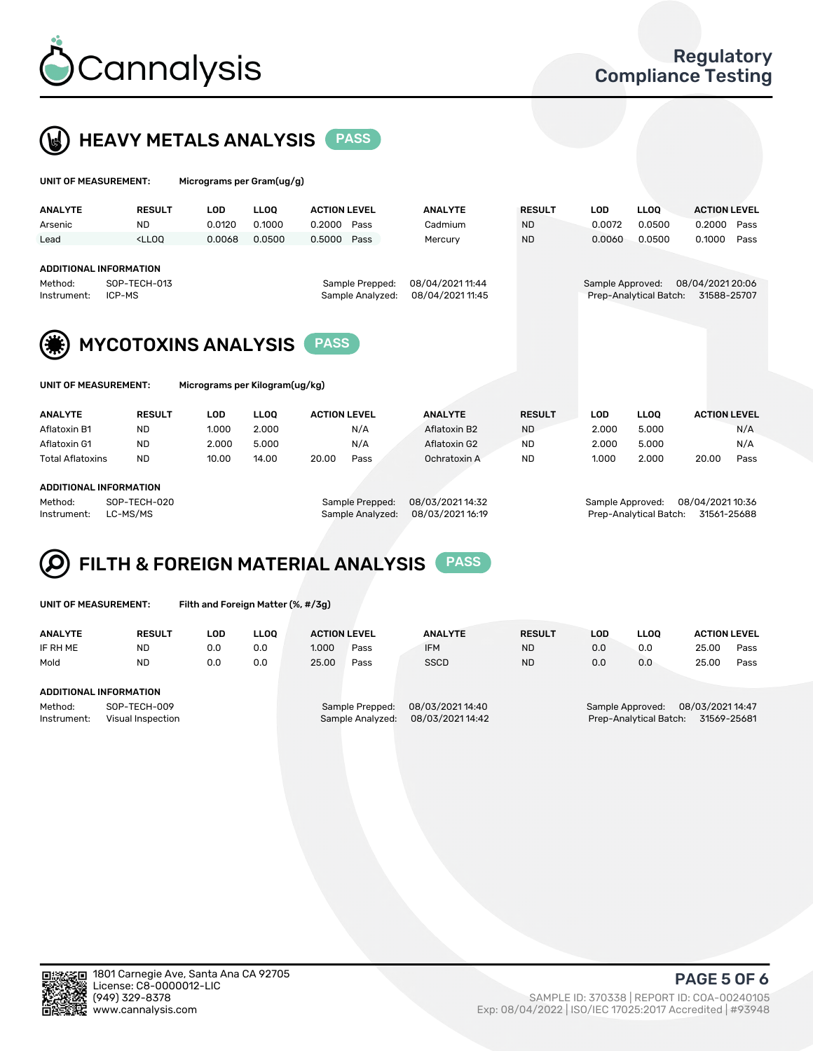



| UNIT OF MEASUREMENT:                                                                                                                                                  |                                                                                                                                                                             | Micrograms per Gram(ug/g) |             |                     |                                      |                |                  |                        |                                 |                     |      |
|-----------------------------------------------------------------------------------------------------------------------------------------------------------------------|-----------------------------------------------------------------------------------------------------------------------------------------------------------------------------|---------------------------|-------------|---------------------|--------------------------------------|----------------|------------------|------------------------|---------------------------------|---------------------|------|
| <b>ANALYTE</b>                                                                                                                                                        | <b>RESULT</b>                                                                                                                                                               | <b>LOD</b>                | <b>LLOQ</b> | <b>ACTION LEVEL</b> |                                      | <b>ANALYTE</b> | <b>RESULT</b>    | <b>LOD</b>             | <b>LLOQ</b>                     | <b>ACTION LEVEL</b> |      |
| Arsenic                                                                                                                                                               | <b>ND</b>                                                                                                                                                                   | 0.0120                    | 0.1000      | 0.2000<br>Pass      |                                      | Cadmium        | <b>ND</b>        | 0.0072                 | 0.0500                          | 0.2000              | Pass |
| Lead                                                                                                                                                                  | <lloo< td=""><td>0.0068</td><td>0.0500</td><td>0.5000</td><td>Pass</td><td>Mercury</td><td><b>ND</b></td><td>0.0060</td><td>0.0500</td><td>0.1000</td><td>Pass</td></lloo<> | 0.0068                    | 0.0500      | 0.5000              | Pass                                 | Mercury        | <b>ND</b>        | 0.0060                 | 0.0500                          | 0.1000              | Pass |
| <b>ADDITIONAL INFORMATION</b><br>SOP-TECH-013<br>Method:<br>Sample Prepped:<br>Sample Analyzed:<br>ICP-MS<br>Instrument:<br><b>MYCOTOXINS ANALYSIS</b><br><b>PASS</b> |                                                                                                                                                                             |                           |             |                     | 08/04/2021 11:44<br>08/04/2021 11:45 |                | Sample Approved: | Prep-Analytical Batch: | 08/04/2021 20:06<br>31588-25707 |                     |      |
|                                                                                                                                                                       | Micrograms per Kilogram(ug/kg)<br>UNIT OF MEASUREMENT:                                                                                                                      |                           |             |                     |                                      |                |                  |                        |                                 |                     |      |
| <b>ANALYTE</b>                                                                                                                                                        | <b>RESULT</b>                                                                                                                                                               | <b>LOD</b>                | <b>LLOQ</b> | <b>ACTION LEVEL</b> |                                      | <b>ANALYTE</b> | <b>RESULT</b>    | <b>LOD</b>             | <b>LLOQ</b>                     | <b>ACTION LEVEL</b> |      |
| Aflatoxin B1                                                                                                                                                          | ND.                                                                                                                                                                         | 1.000                     | 2.000       |                     | N/A                                  | Aflatoxin B2   | <b>ND</b>        | 2.000                  | 5.000                           |                     | N/A  |
| Aflatoxin G1                                                                                                                                                          | <b>ND</b>                                                                                                                                                                   | 2.000                     | 5.000       |                     | N/A                                  | Aflatoxin G2   | <b>ND</b>        | 2.000                  | 5.000                           |                     | N/A  |
| <b>Total Aflatoxins</b>                                                                                                                                               | ND.                                                                                                                                                                         | 10.00                     | 14.00       | 20.00               | Pass                                 | Ochratoxin A   | ND.              | 1.000                  | 2.000                           | 20.00               | Pass |

#### ADDITIONAL INFORMATION

Method: SOP-TECH-020 Sample Prepped: 08/03/2021 14:32 Sample Approved: 08/04/2021 10:36 Instrument: LC-MS/MS Sample Analyzed: 08/03/2021 16:19 Prep-Analytical Batch: 31561-25688

### FILTH & FOREIGN MATERIAL ANALYSIS PASS Q

UNIT OF MEASUREMENT: Filth and Foreign Matter (%, #/3g)

| <b>ANALYTE</b>                                              | <b>RESULT</b> | LOD. | LLOO | <b>ACTION LEVEL</b> |                                     | <b>ANALYTE</b>                      | <b>RESULT</b> | LOD | <b>LLOO</b> | <b>ACTION LEVEL</b>                                                           |      |  |  |
|-------------------------------------------------------------|---------------|------|------|---------------------|-------------------------------------|-------------------------------------|---------------|-----|-------------|-------------------------------------------------------------------------------|------|--|--|
| IF RH ME                                                    | <b>ND</b>     | 0.0  | 0.0  | 1.000               | Pass                                | <b>IFM</b>                          | <b>ND</b>     | 0.0 | 0.0         | 25.00                                                                         | Pass |  |  |
| Mold                                                        | <b>ND</b>     | 0.0  | 0.0  | 25.00               | Pass                                | <b>SSCD</b>                         | <b>ND</b>     | 0.0 | 0.0         | 25.00                                                                         | Pass |  |  |
| ADDITIONAL INFORMATION                                      |               |      |      |                     |                                     |                                     |               |     |             |                                                                               |      |  |  |
| Method:<br>SOP-TECH-009<br>Instrument:<br>Visual Inspection |               |      |      |                     | Sample Prepped:<br>Sample Analyzed: | 08/03/2021 14:40<br>08/03/202114:42 |               |     |             | 08/03/2021 14:47<br>Sample Approved:<br>Prep-Analytical Batch:<br>31569-25681 |      |  |  |



PAGE 5 OF 6